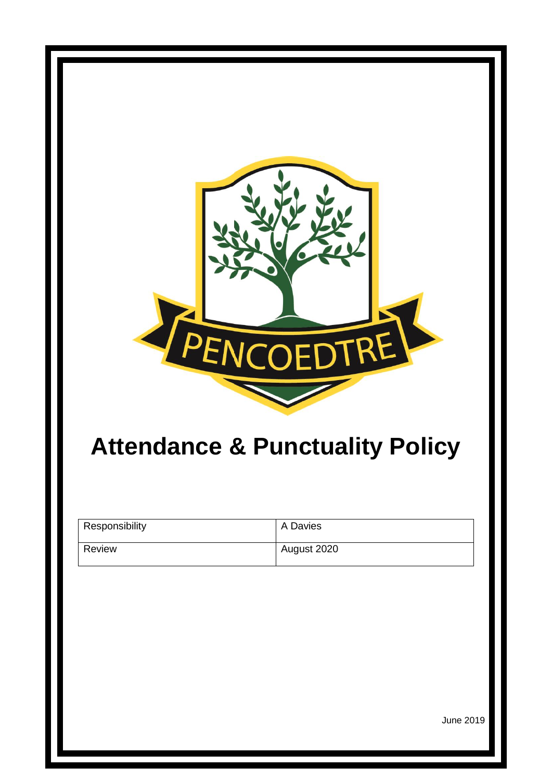

# **Attendance & Punctuality Policy**

| Responsibility | A Davies    |
|----------------|-------------|
| Review         | August 2020 |

June 2019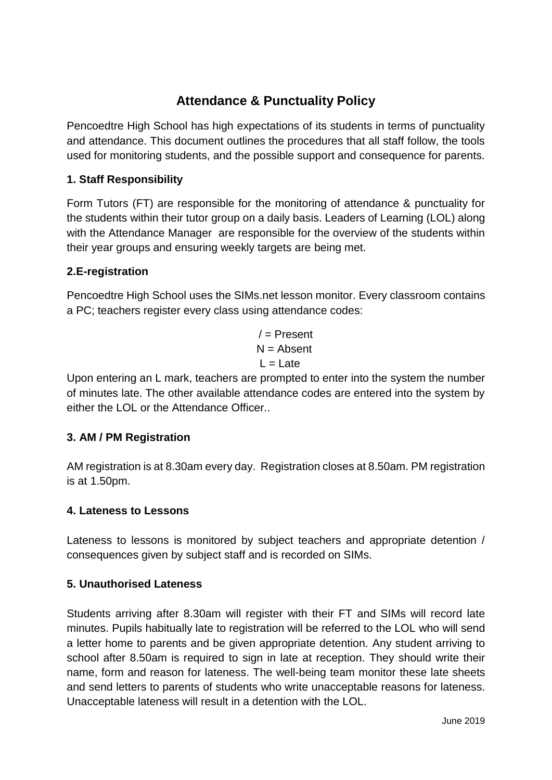# **Attendance & Punctuality Policy**

Pencoedtre High School has high expectations of its students in terms of punctuality and attendance. This document outlines the procedures that all staff follow, the tools used for monitoring students, and the possible support and consequence for parents.

# **1. Staff Responsibility**

Form Tutors (FT) are responsible for the monitoring of attendance & punctuality for the students within their tutor group on a daily basis. Leaders of Learning (LOL) along with the Attendance Manager are responsible for the overview of the students within their year groups and ensuring weekly targets are being met.

# **2.E-registration**

Pencoedtre High School uses the SIMs.net lesson monitor. Every classroom contains a PC; teachers register every class using attendance codes:

> $/$  = Present  $N =$  Absent  $L =$ Late

Upon entering an L mark, teachers are prompted to enter into the system the number of minutes late. The other available attendance codes are entered into the system by either the LOL or the Attendance Officer..

# **3. AM / PM Registration**

AM registration is at 8.30am every day. Registration closes at 8.50am. PM registration is at 1.50pm.

# **4. Lateness to Lessons**

Lateness to lessons is monitored by subject teachers and appropriate detention / consequences given by subject staff and is recorded on SIMs.

# **5. Unauthorised Lateness**

Students arriving after 8.30am will register with their FT and SIMs will record late minutes. Pupils habitually late to registration will be referred to the LOL who will send a letter home to parents and be given appropriate detention. Any student arriving to school after 8.50am is required to sign in late at reception. They should write their name, form and reason for lateness. The well-being team monitor these late sheets and send letters to parents of students who write unacceptable reasons for lateness. Unacceptable lateness will result in a detention with the LOL.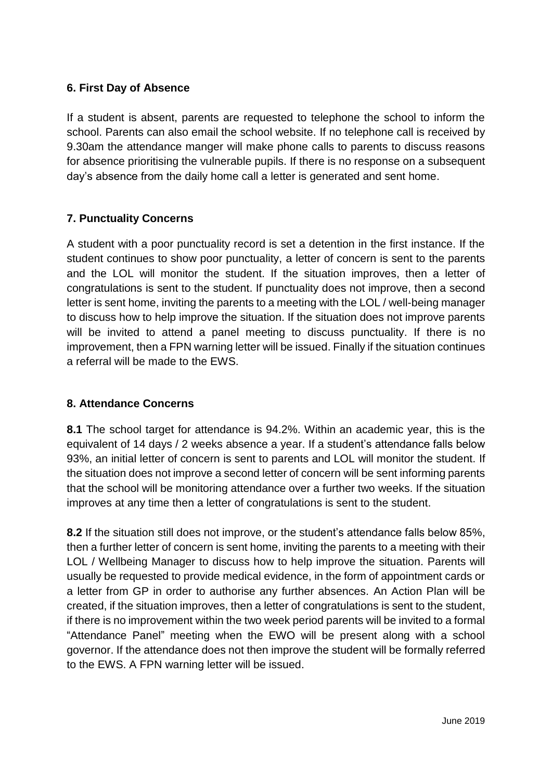#### **6. First Day of Absence**

If a student is absent, parents are requested to telephone the school to inform the school. Parents can also email the school website. If no telephone call is received by 9.30am the attendance manger will make phone calls to parents to discuss reasons for absence prioritising the vulnerable pupils. If there is no response on a subsequent day's absence from the daily home call a letter is generated and sent home.

# **7. Punctuality Concerns**

A student with a poor punctuality record is set a detention in the first instance. If the student continues to show poor punctuality, a letter of concern is sent to the parents and the LOL will monitor the student. If the situation improves, then a letter of congratulations is sent to the student. If punctuality does not improve, then a second letter is sent home, inviting the parents to a meeting with the LOL / well-being manager to discuss how to help improve the situation. If the situation does not improve parents will be invited to attend a panel meeting to discuss punctuality. If there is no improvement, then a FPN warning letter will be issued. Finally if the situation continues a referral will be made to the EWS.

# **8. Attendance Concerns**

**8.1** The school target for attendance is 94.2%. Within an academic year, this is the equivalent of 14 days / 2 weeks absence a year. If a student's attendance falls below 93%, an initial letter of concern is sent to parents and LOL will monitor the student. If the situation does not improve a second letter of concern will be sent informing parents that the school will be monitoring attendance over a further two weeks. If the situation improves at any time then a letter of congratulations is sent to the student.

**8.2** If the situation still does not improve, or the student's attendance falls below 85%, then a further letter of concern is sent home, inviting the parents to a meeting with their LOL / Wellbeing Manager to discuss how to help improve the situation. Parents will usually be requested to provide medical evidence, in the form of appointment cards or a letter from GP in order to authorise any further absences. An Action Plan will be created, if the situation improves, then a letter of congratulations is sent to the student, if there is no improvement within the two week period parents will be invited to a formal "Attendance Panel" meeting when the EWO will be present along with a school governor. If the attendance does not then improve the student will be formally referred to the EWS. A FPN warning letter will be issued.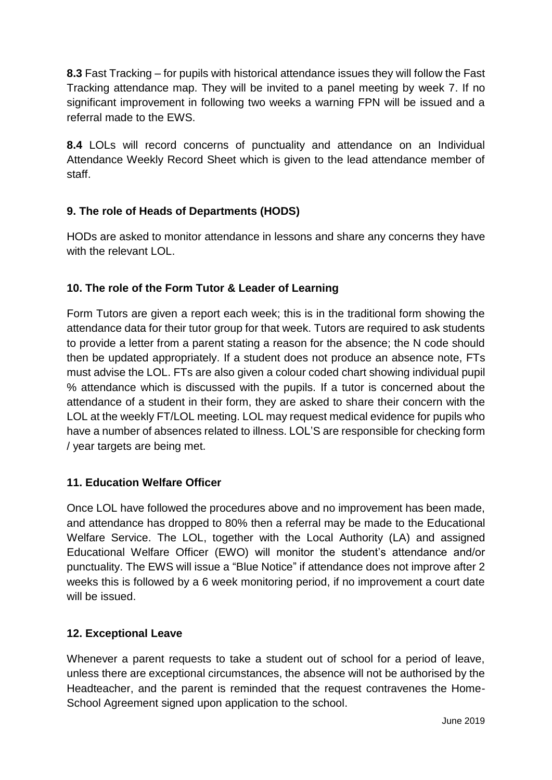**8.3** Fast Tracking – for pupils with historical attendance issues they will follow the Fast Tracking attendance map. They will be invited to a panel meeting by week 7. If no significant improvement in following two weeks a warning FPN will be issued and a referral made to the EWS.

**8.4** LOLs will record concerns of punctuality and attendance on an Individual Attendance Weekly Record Sheet which is given to the lead attendance member of staff.

# **9. The role of Heads of Departments (HODS)**

HODs are asked to monitor attendance in lessons and share any concerns they have with the relevant  $LOL$ 

# **10. The role of the Form Tutor & Leader of Learning**

Form Tutors are given a report each week; this is in the traditional form showing the attendance data for their tutor group for that week. Tutors are required to ask students to provide a letter from a parent stating a reason for the absence; the N code should then be updated appropriately. If a student does not produce an absence note, FTs must advise the LOL. FTs are also given a colour coded chart showing individual pupil % attendance which is discussed with the pupils. If a tutor is concerned about the attendance of a student in their form, they are asked to share their concern with the LOL at the weekly FT/LOL meeting. LOL may request medical evidence for pupils who have a number of absences related to illness. LOL'S are responsible for checking form / year targets are being met.

# **11. Education Welfare Officer**

Once LOL have followed the procedures above and no improvement has been made, and attendance has dropped to 80% then a referral may be made to the Educational Welfare Service. The LOL, together with the Local Authority (LA) and assigned Educational Welfare Officer (EWO) will monitor the student's attendance and/or punctuality. The EWS will issue a "Blue Notice" if attendance does not improve after 2 weeks this is followed by a 6 week monitoring period, if no improvement a court date will be issued.

# **12. Exceptional Leave**

Whenever a parent requests to take a student out of school for a period of leave, unless there are exceptional circumstances, the absence will not be authorised by the Headteacher, and the parent is reminded that the request contravenes the Home-School Agreement signed upon application to the school.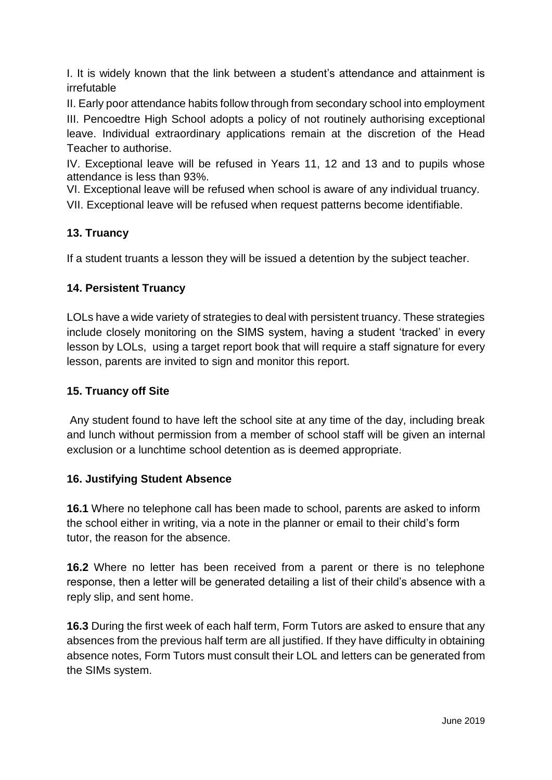I. It is widely known that the link between a student's attendance and attainment is irrefutable

II. Early poor attendance habits follow through from secondary school into employment III. Pencoedtre High School adopts a policy of not routinely authorising exceptional leave. Individual extraordinary applications remain at the discretion of the Head Teacher to authorise.

IV. Exceptional leave will be refused in Years 11, 12 and 13 and to pupils whose attendance is less than 93%.

VI. Exceptional leave will be refused when school is aware of any individual truancy.

VII. Exceptional leave will be refused when request patterns become identifiable.

# **13. Truancy**

If a student truants a lesson they will be issued a detention by the subject teacher.

# **14. Persistent Truancy**

LOLs have a wide variety of strategies to deal with persistent truancy. These strategies include closely monitoring on the SIMS system, having a student 'tracked' in every lesson by LOLs, using a target report book that will require a staff signature for every lesson, parents are invited to sign and monitor this report.

# **15. Truancy off Site**

Any student found to have left the school site at any time of the day, including break and lunch without permission from a member of school staff will be given an internal exclusion or a lunchtime school detention as is deemed appropriate.

# **16. Justifying Student Absence**

**16.1** Where no telephone call has been made to school, parents are asked to inform the school either in writing, via a note in the planner or email to their child's form tutor, the reason for the absence.

**16.2** Where no letter has been received from a parent or there is no telephone response, then a letter will be generated detailing a list of their child's absence with a reply slip, and sent home.

**16.3** During the first week of each half term, Form Tutors are asked to ensure that any absences from the previous half term are all justified. If they have difficulty in obtaining absence notes, Form Tutors must consult their LOL and letters can be generated from the SIMs system.